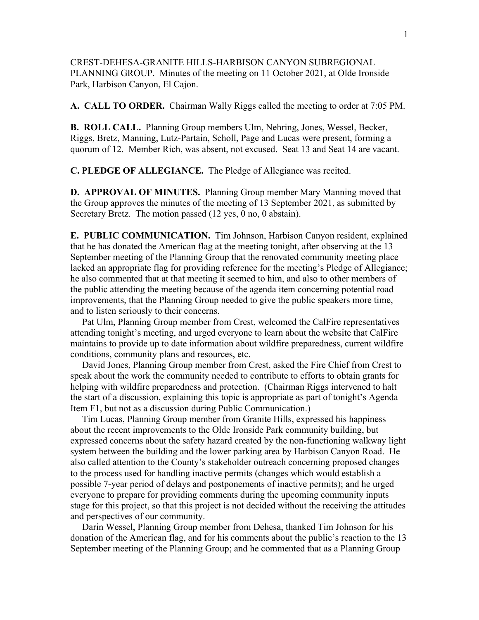CREST-DEHESA-GRANITE HILLS-HARBISON CANYON SUBREGIONAL PLANNING GROUP. Minutes of the meeting on 11 October 2021, at Olde Ironside Park, Harbison Canyon, El Cajon.

**A. CALL TO ORDER.** Chairman Wally Riggs called the meeting to order at 7:05 PM.

**B. ROLL CALL.** Planning Group members Ulm, Nehring, Jones, Wessel, Becker, Riggs, Bretz, Manning, Lutz-Partain, Scholl, Page and Lucas were present, forming a quorum of 12. Member Rich, was absent, not excused. Seat 13 and Seat 14 are vacant.

**C. PLEDGE OF ALLEGIANCE.** The Pledge of Allegiance was recited.

**D. APPROVAL OF MINUTES.** Planning Group member Mary Manning moved that the Group approves the minutes of the meeting of 13 September 2021, as submitted by Secretary Bretz. The motion passed (12 yes, 0 no, 0 abstain).

**E. PUBLIC COMMUNICATION.** Tim Johnson, Harbison Canyon resident, explained that he has donated the American flag at the meeting tonight, after observing at the 13 September meeting of the Planning Group that the renovated community meeting place lacked an appropriate flag for providing reference for the meeting's Pledge of Allegiance; he also commented that at that meeting it seemed to him, and also to other members of the public attending the meeting because of the agenda item concerning potential road improvements, that the Planning Group needed to give the public speakers more time, and to listen seriously to their concerns.

 Pat Ulm, Planning Group member from Crest, welcomed the CalFire representatives attending tonight's meeting, and urged everyone to learn about the website that CalFire maintains to provide up to date information about wildfire preparedness, current wildfire conditions, community plans and resources, etc.

 David Jones, Planning Group member from Crest, asked the Fire Chief from Crest to speak about the work the community needed to contribute to efforts to obtain grants for helping with wildfire preparedness and protection. (Chairman Riggs intervened to halt the start of a discussion, explaining this topic is appropriate as part of tonight's Agenda Item F1, but not as a discussion during Public Communication.)

 Tim Lucas, Planning Group member from Granite Hills, expressed his happiness about the recent improvements to the Olde Ironside Park community building, but expressed concerns about the safety hazard created by the non-functioning walkway light system between the building and the lower parking area by Harbison Canyon Road. He also called attention to the County's stakeholder outreach concerning proposed changes to the process used for handling inactive permits (changes which would establish a possible 7-year period of delays and postponements of inactive permits); and he urged everyone to prepare for providing comments during the upcoming community inputs stage for this project, so that this project is not decided without the receiving the attitudes and perspectives of our community.

 Darin Wessel, Planning Group member from Dehesa, thanked Tim Johnson for his donation of the American flag, and for his comments about the public's reaction to the 13 September meeting of the Planning Group; and he commented that as a Planning Group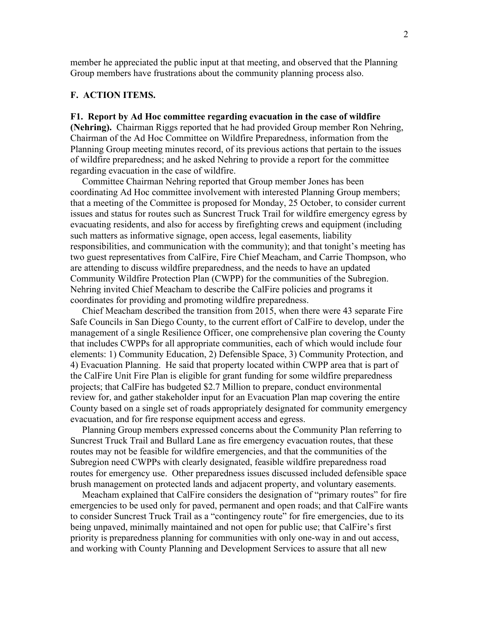member he appreciated the public input at that meeting, and observed that the Planning Group members have frustrations about the community planning process also.

# **F. ACTION ITEMS.**

# **F1. Report by Ad Hoc committee regarding evacuation in the case of wildfire**

**(Nehring).** Chairman Riggs reported that he had provided Group member Ron Nehring, Chairman of the Ad Hoc Committee on Wildfire Preparedness, information from the Planning Group meeting minutes record, of its previous actions that pertain to the issues of wildfire preparedness; and he asked Nehring to provide a report for the committee regarding evacuation in the case of wildfire.

 Committee Chairman Nehring reported that Group member Jones has been coordinating Ad Hoc committee involvement with interested Planning Group members; that a meeting of the Committee is proposed for Monday, 25 October, to consider current issues and status for routes such as Suncrest Truck Trail for wildfire emergency egress by evacuating residents, and also for access by firefighting crews and equipment (including such matters as informative signage, open access, legal easements, liability responsibilities, and communication with the community); and that tonight's meeting has two guest representatives from CalFire, Fire Chief Meacham, and Carrie Thompson, who are attending to discuss wildfire preparedness, and the needs to have an updated Community Wildfire Protection Plan (CWPP) for the communities of the Subregion. Nehring invited Chief Meacham to describe the CalFire policies and programs it coordinates for providing and promoting wildfire preparedness.

 Chief Meacham described the transition from 2015, when there were 43 separate Fire Safe Councils in San Diego County, to the current effort of CalFire to develop, under the management of a single Resilience Officer, one comprehensive plan covering the County that includes CWPPs for all appropriate communities, each of which would include four elements: 1) Community Education, 2) Defensible Space, 3) Community Protection, and 4) Evacuation Planning. He said that property located within CWPP area that is part of the CalFire Unit Fire Plan is eligible for grant funding for some wildfire preparedness projects; that CalFire has budgeted \$2.7 Million to prepare, conduct environmental review for, and gather stakeholder input for an Evacuation Plan map covering the entire County based on a single set of roads appropriately designated for community emergency evacuation, and for fire response equipment access and egress.

 Planning Group members expressed concerns about the Community Plan referring to Suncrest Truck Trail and Bullard Lane as fire emergency evacuation routes, that these routes may not be feasible for wildfire emergencies, and that the communities of the Subregion need CWPPs with clearly designated, feasible wildfire preparedness road routes for emergency use. Other preparedness issues discussed included defensible space brush management on protected lands and adjacent property, and voluntary easements.

 Meacham explained that CalFire considers the designation of "primary routes" for fire emergencies to be used only for paved, permanent and open roads; and that CalFire wants to consider Suncrest Truck Trail as a "contingency route" for fire emergencies, due to its being unpaved, minimally maintained and not open for public use; that CalFire's first priority is preparedness planning for communities with only one-way in and out access, and working with County Planning and Development Services to assure that all new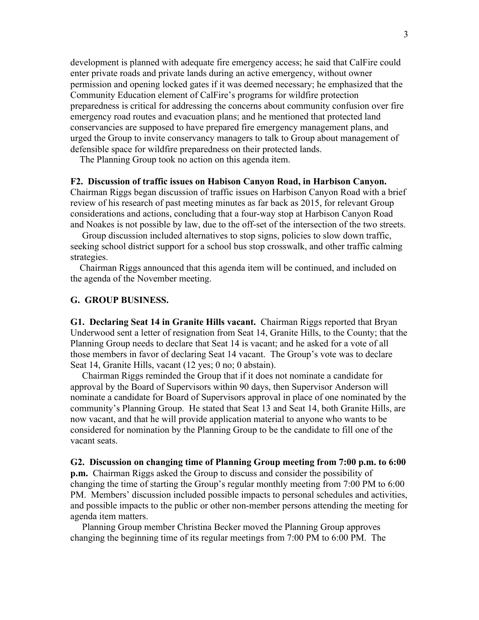development is planned with adequate fire emergency access; he said that CalFire could enter private roads and private lands during an active emergency, without owner permission and opening locked gates if it was deemed necessary; he emphasized that the Community Education element of CalFire's programs for wildfire protection preparedness is critical for addressing the concerns about community confusion over fire emergency road routes and evacuation plans; and he mentioned that protected land conservancies are supposed to have prepared fire emergency management plans, and urged the Group to invite conservancy managers to talk to Group about management of defensible space for wildfire preparedness on their protected lands.

The Planning Group took no action on this agenda item.

#### **F2. Discussion of traffic issues on Habison Canyon Road, in Harbison Canyon.**

Chairman Riggs began discussion of traffic issues on Harbison Canyon Road with a brief review of his research of past meeting minutes as far back as 2015, for relevant Group considerations and actions, concluding that a four-way stop at Harbison Canyon Road and Noakes is not possible by law, due to the off-set of the intersection of the two streets.

 Group discussion included alternatives to stop signs, policies to slow down traffic, seeking school district support for a school bus stop crosswalk, and other traffic calming strategies.

 Chairman Riggs announced that this agenda item will be continued, and included on the agenda of the November meeting.

#### **G. GROUP BUSINESS.**

**G1. Declaring Seat 14 in Granite Hills vacant.** Chairman Riggs reported that Bryan Underwood sent a letter of resignation from Seat 14, Granite Hills, to the County; that the Planning Group needs to declare that Seat 14 is vacant; and he asked for a vote of all those members in favor of declaring Seat 14 vacant. The Group's vote was to declare Seat 14, Granite Hills, vacant (12 yes; 0 no; 0 abstain).

 Chairman Riggs reminded the Group that if it does not nominate a candidate for approval by the Board of Supervisors within 90 days, then Supervisor Anderson will nominate a candidate for Board of Supervisors approval in place of one nominated by the community's Planning Group. He stated that Seat 13 and Seat 14, both Granite Hills, are now vacant, and that he will provide application material to anyone who wants to be considered for nomination by the Planning Group to be the candidate to fill one of the vacant seats.

### **G2. Discussion on changing time of Planning Group meeting from 7:00 p.m. to 6:00 p.m.** Chairman Riggs asked the Group to discuss and consider the possibility of

changing the time of starting the Group's regular monthly meeting from 7:00 PM to 6:00 PM. Members' discussion included possible impacts to personal schedules and activities, and possible impacts to the public or other non-member persons attending the meeting for agenda item matters.

 Planning Group member Christina Becker moved the Planning Group approves changing the beginning time of its regular meetings from 7:00 PM to 6:00 PM. The